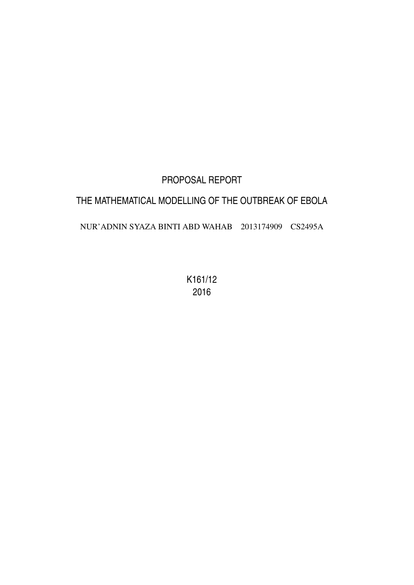# PROPOSAL REPORT THE MATHEMATICAL MODELLING OF THE OUTBREAK OF EBOLA NUR'ADNIN SYAZA BINTI ABD WAHAB 2013174909 CS2495A

K161/12 2016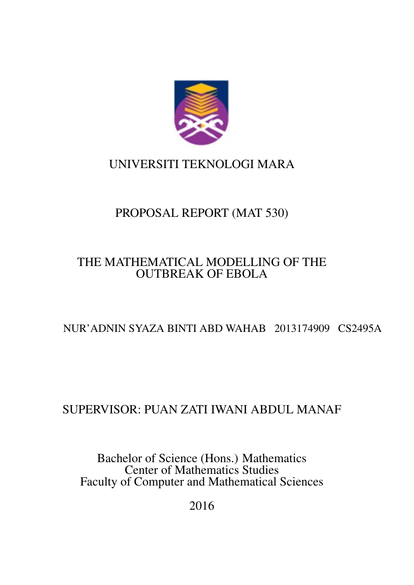

# UNIVERSITI TEKNOLOGI MARA

# PROPOSAL REPORT (MAT 530)

## THE MATHEMATICAL MODELLING OF THE OUTBREAK OF EBOLA

# NUR'ADNIN SYAZA BINTI ABD WAHAB 2013174909 CS2495A

# SUPERVISOR: PUAN ZATI IWANI ABDUL MANAF

Bachelor of Science (Hons.) Mathematics Center of Mathematics Studies Faculty of Computer and Mathematical Sciences

2016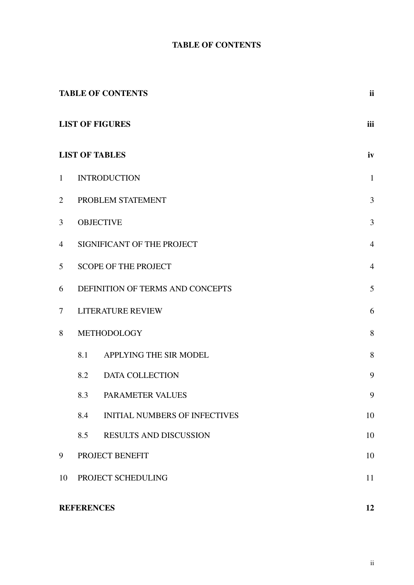### TABLE OF CONTENTS

<span id="page-2-0"></span>

|                 |                                                                                                                                                                                                                                                                                                                                              | <b>TABLE OF CONTENTS</b>             | <b>ii</b>      |  |  |  |  |  |  |  |  |
|-----------------|----------------------------------------------------------------------------------------------------------------------------------------------------------------------------------------------------------------------------------------------------------------------------------------------------------------------------------------------|--------------------------------------|----------------|--|--|--|--|--|--|--|--|
|                 |                                                                                                                                                                                                                                                                                                                                              |                                      | iii            |  |  |  |  |  |  |  |  |
|                 | <b>LIST OF FIGURES</b><br><b>LIST OF TABLES</b><br><b>INTRODUCTION</b><br>3<br>PROBLEM STATEMENT<br><b>OBJECTIVE</b><br>SIGNIFICANT OF THE PROJECT<br><b>SCOPE OF THE PROJECT</b><br>DEFINITION OF TERMS AND CONCEPTS<br>5<br><b>LITERATURE REVIEW</b><br>6<br>METHODOLOGY<br>8.1<br>APPLYING THE SIR MODEL<br>8.2<br><b>DATA COLLECTION</b> |                                      | iv             |  |  |  |  |  |  |  |  |
| $\mathbf{1}$    |                                                                                                                                                                                                                                                                                                                                              |                                      | $\mathbf{1}$   |  |  |  |  |  |  |  |  |
| $\overline{2}$  |                                                                                                                                                                                                                                                                                                                                              |                                      |                |  |  |  |  |  |  |  |  |
| 3               |                                                                                                                                                                                                                                                                                                                                              |                                      | 3              |  |  |  |  |  |  |  |  |
| $\overline{4}$  |                                                                                                                                                                                                                                                                                                                                              |                                      | $\overline{4}$ |  |  |  |  |  |  |  |  |
| $5\overline{)}$ |                                                                                                                                                                                                                                                                                                                                              |                                      | $\overline{4}$ |  |  |  |  |  |  |  |  |
| 6               |                                                                                                                                                                                                                                                                                                                                              |                                      |                |  |  |  |  |  |  |  |  |
| $\tau$          |                                                                                                                                                                                                                                                                                                                                              |                                      |                |  |  |  |  |  |  |  |  |
| 8               |                                                                                                                                                                                                                                                                                                                                              |                                      | 8              |  |  |  |  |  |  |  |  |
|                 |                                                                                                                                                                                                                                                                                                                                              |                                      | 8              |  |  |  |  |  |  |  |  |
|                 |                                                                                                                                                                                                                                                                                                                                              |                                      | 9              |  |  |  |  |  |  |  |  |
|                 |                                                                                                                                                                                                                                                                                                                                              | 8.3 PARAMETER VALUES                 | 9              |  |  |  |  |  |  |  |  |
|                 | 8.4                                                                                                                                                                                                                                                                                                                                          | <b>INITIAL NUMBERS OF INFECTIVES</b> | 10             |  |  |  |  |  |  |  |  |
|                 | 8.5                                                                                                                                                                                                                                                                                                                                          | RESULTS AND DISCUSSION               | 10             |  |  |  |  |  |  |  |  |
| 9               | PROJECT BENEFIT                                                                                                                                                                                                                                                                                                                              |                                      |                |  |  |  |  |  |  |  |  |
| 10              | PROJECT SCHEDULING                                                                                                                                                                                                                                                                                                                           |                                      |                |  |  |  |  |  |  |  |  |
|                 | <b>REFERENCES</b>                                                                                                                                                                                                                                                                                                                            |                                      | 12             |  |  |  |  |  |  |  |  |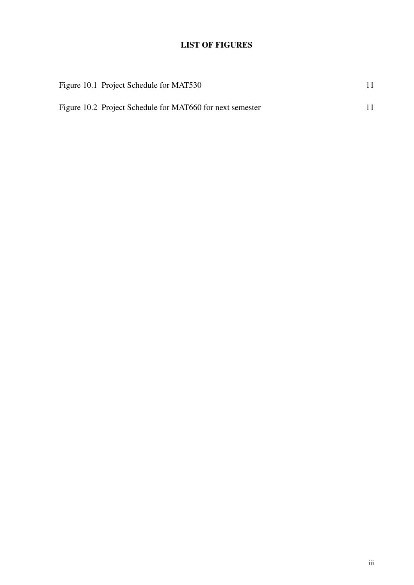### LIST OF FIGURES

<span id="page-3-0"></span>

| Figure 10.1 Project Schedule for MAT530                   |  |
|-----------------------------------------------------------|--|
| Figure 10.2 Project Schedule for MAT660 for next semester |  |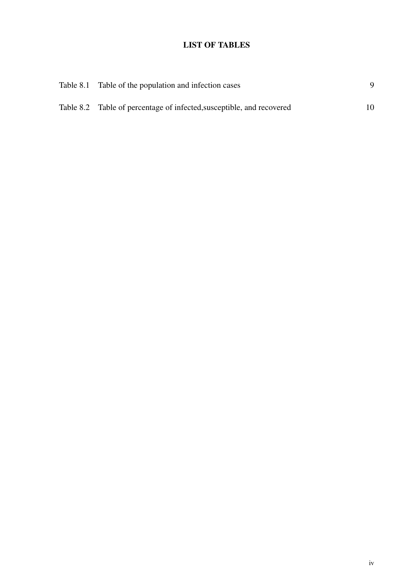### LIST OF TABLES

<span id="page-4-0"></span>

| Table 8.1 Table of the population and infection cases                 |  |
|-----------------------------------------------------------------------|--|
| Table 8.2 Table of percentage of infected, susceptible, and recovered |  |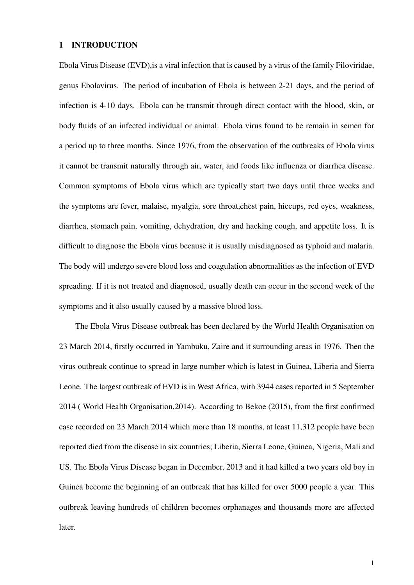#### <span id="page-5-0"></span>1 INTRODUCTION

Ebola Virus Disease (EVD),is a viral infection that is caused by a virus of the family Filoviridae, genus Ebolavirus. The period of incubation of Ebola is between 2-21 days, and the period of infection is 4-10 days. Ebola can be transmit through direct contact with the blood, skin, or body fluids of an infected individual or animal. Ebola virus found to be remain in semen for a period up to three months. Since 1976, from the observation of the outbreaks of Ebola virus it cannot be transmit naturally through air, water, and foods like influenza or diarrhea disease. Common symptoms of Ebola virus which are typically start two days until three weeks and the symptoms are fever, malaise, myalgia, sore throat,chest pain, hiccups, red eyes, weakness, diarrhea, stomach pain, vomiting, dehydration, dry and hacking cough, and appetite loss. It is difficult to diagnose the Ebola virus because it is usually misdiagnosed as typhoid and malaria. The body will undergo severe blood loss and coagulation abnormalities as the infection of EVD spreading. If it is not treated and diagnosed, usually death can occur in the second week of the symptoms and it also usually caused by a massive blood loss.

The Ebola Virus Disease outbreak has been declared by the World Health Organisation on 23 March 2014, firstly occurred in Yambuku, Zaire and it surrounding areas in 1976. Then the virus outbreak continue to spread in large number which is latest in Guinea, Liberia and Sierra Leone. The largest outbreak of EVD is in West Africa, with 3944 cases reported in 5 September 2014 ( World Health Organisation,2014). According to [Bekoe](#page-16-1) [\(2015\)](#page-16-1), from the first confirmed case recorded on 23 March 2014 which more than 18 months, at least 11,312 people have been reported died from the disease in six countries; Liberia, Sierra Leone, Guinea, Nigeria, Mali and US. The Ebola Virus Disease began in December, 2013 and it had killed a two years old boy in Guinea become the beginning of an outbreak that has killed for over 5000 people a year. This outbreak leaving hundreds of children becomes orphanages and thousands more are affected later.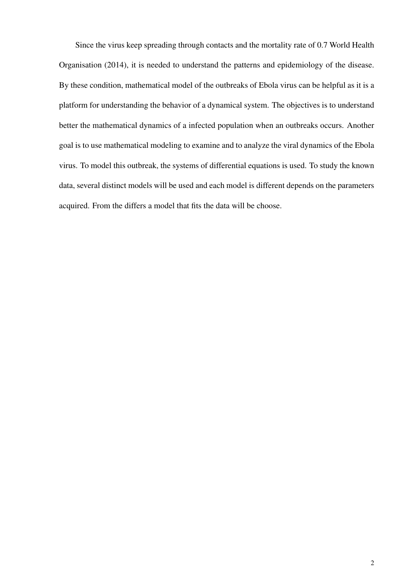Since the virus keep spreading through contacts and the mortality rate of 0.7 [World Health](#page-16-2) [Organisation](#page-16-2) [\(2014\)](#page-16-2), it is needed to understand the patterns and epidemiology of the disease. By these condition, mathematical model of the outbreaks of Ebola virus can be helpful as it is a platform for understanding the behavior of a dynamical system. The objectives is to understand better the mathematical dynamics of a infected population when an outbreaks occurs. Another goal is to use mathematical modeling to examine and to analyze the viral dynamics of the Ebola virus. To model this outbreak, the systems of differential equations is used. To study the known data, several distinct models will be used and each model is different depends on the parameters acquired. From the differs a model that fits the data will be choose.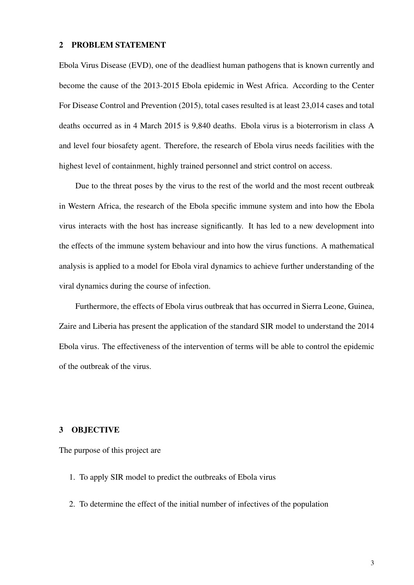#### <span id="page-7-0"></span>2 PROBLEM STATEMENT

Ebola Virus Disease (EVD), one of the deadliest human pathogens that is known currently and become the cause of the 2013-2015 Ebola epidemic in West Africa. According to the [Center](#page-16-3) [For Disease Control and Prevention](#page-16-3) [\(2015\)](#page-16-3), total cases resulted is at least 23,014 cases and total deaths occurred as in 4 March 2015 is 9,840 deaths. Ebola virus is a bioterrorism in class A and level four biosafety agent. Therefore, the research of Ebola virus needs facilities with the highest level of containment, highly trained personnel and strict control on access.

Due to the threat poses by the virus to the rest of the world and the most recent outbreak in Western Africa, the research of the Ebola specific immune system and into how the Ebola virus interacts with the host has increase significantly. It has led to a new development into the effects of the immune system behaviour and into how the virus functions. A mathematical analysis is applied to a model for Ebola viral dynamics to achieve further understanding of the viral dynamics during the course of infection.

Furthermore, the effects of Ebola virus outbreak that has occurred in Sierra Leone, Guinea, Zaire and Liberia has present the application of the standard SIR model to understand the 2014 Ebola virus. The effectiveness of the intervention of terms will be able to control the epidemic of the outbreak of the virus.

### <span id="page-7-1"></span>3 OBJECTIVE

The purpose of this project are

- 1. To apply SIR model to predict the outbreaks of Ebola virus
- 2. To determine the effect of the initial number of infectives of the population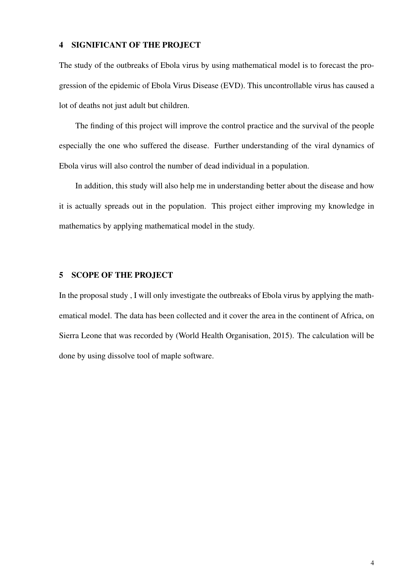### <span id="page-8-0"></span>4 SIGNIFICANT OF THE PROJECT

The study of the outbreaks of Ebola virus by using mathematical model is to forecast the progression of the epidemic of Ebola Virus Disease (EVD). This uncontrollable virus has caused a lot of deaths not just adult but children.

The finding of this project will improve the control practice and the survival of the people especially the one who suffered the disease. Further understanding of the viral dynamics of Ebola virus will also control the number of dead individual in a population.

In addition, this study will also help me in understanding better about the disease and how it is actually spreads out in the population. This project either improving my knowledge in mathematics by applying mathematical model in the study.

### <span id="page-8-1"></span>5 SCOPE OF THE PROJECT

In the proposal study , I will only investigate the outbreaks of Ebola virus by applying the mathematical model. The data has been collected and it cover the area in the continent of Africa, on Sierra Leone that was recorded by [\(World Health Organisation, 2015\)](#page-16-4). The calculation will be done by using dissolve tool of maple software.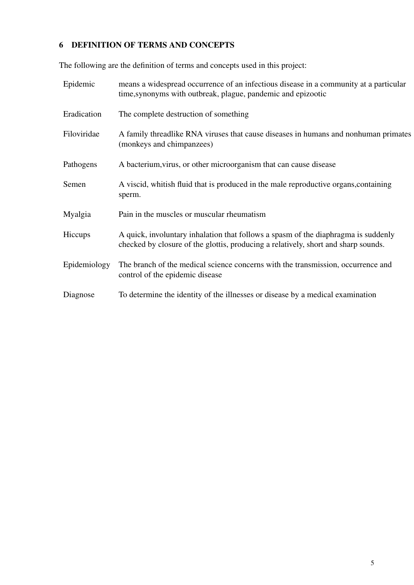### <span id="page-9-0"></span>6 DEFINITION OF TERMS AND CONCEPTS

The following are the definition of terms and concepts used in this project:

| Epidemic     | means a widespread occurrence of an infectious disease in a community at a particular<br>time, synonyms with outbreak, plague, pandemic and epizootic                    |
|--------------|--------------------------------------------------------------------------------------------------------------------------------------------------------------------------|
| Eradication  | The complete destruction of something                                                                                                                                    |
| Filoviridae  | A family threadlike RNA viruses that cause diseases in humans and nonhuman primates<br>(monkeys and chimpanzees)                                                         |
| Pathogens    | A bacterium, virus, or other microorganism that can cause disease                                                                                                        |
| Semen        | A viscid, whitish fluid that is produced in the male reproductive organs, containing<br>sperm.                                                                           |
| Myalgia      | Pain in the muscles or muscular rheumatism                                                                                                                               |
| Hiccups      | A quick, involuntary inhalation that follows a spasm of the diaphragma is suddenly<br>checked by closure of the glottis, producing a relatively, short and sharp sounds. |
| Epidemiology | The branch of the medical science concerns with the transmission, occurrence and<br>control of the epidemic disease                                                      |
| Diagnose     | To determine the identity of the illnesses or disease by a medical examination                                                                                           |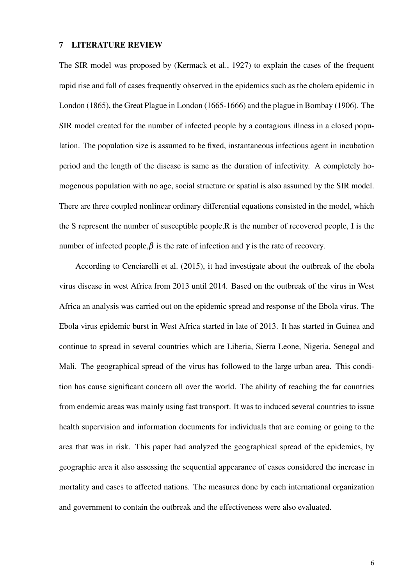#### <span id="page-10-0"></span>7 LITERATURE REVIEW

The SIR model was proposed by [\(Kermack et al., 1927\)](#page-16-5) to explain the cases of the frequent rapid rise and fall of cases frequently observed in the epidemics such as the cholera epidemic in London (1865), the Great Plague in London (1665-1666) and the plague in Bombay (1906). The SIR model created for the number of infected people by a contagious illness in a closed population. The population size is assumed to be fixed, instantaneous infectious agent in incubation period and the length of the disease is same as the duration of infectivity. A completely homogenous population with no age, social structure or spatial is also assumed by the SIR model. There are three coupled nonlinear ordinary differential equations consisted in the model, which the S represent the number of susceptible people,R is the number of recovered people, I is the number of infected people, $\beta$  is the rate of infection and  $\gamma$  is the rate of recovery.

According to [Cenciarelli et al.](#page-16-6) [\(2015\)](#page-16-6), it had investigate about the outbreak of the ebola virus disease in west Africa from 2013 until 2014. Based on the outbreak of the virus in West Africa an analysis was carried out on the epidemic spread and response of the Ebola virus. The Ebola virus epidemic burst in West Africa started in late of 2013. It has started in Guinea and continue to spread in several countries which are Liberia, Sierra Leone, Nigeria, Senegal and Mali. The geographical spread of the virus has followed to the large urban area. This condition has cause significant concern all over the world. The ability of reaching the far countries from endemic areas was mainly using fast transport. It was to induced several countries to issue health supervision and information documents for individuals that are coming or going to the area that was in risk. This paper had analyzed the geographical spread of the epidemics, by geographic area it also assessing the sequential appearance of cases considered the increase in mortality and cases to affected nations. The measures done by each international organization and government to contain the outbreak and the effectiveness were also evaluated.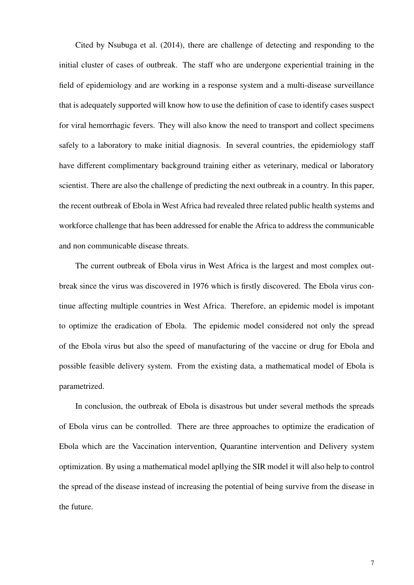Cited by [Nsubuga et al.](#page-16-7) [\(2014\)](#page-16-7), there are challenge of detecting and responding to the initial cluster of cases of outbreak. The staff who are undergone experiential training in the field of epidemiology and are working in a response system and a multi-disease surveillance that is adequately supported will know how to use the definition of case to identify cases suspect for viral hemorrhagic fevers. They will also know the need to transport and collect specimens safely to a laboratory to make initial diagnosis. In several countries, the epidemiology staff have different complimentary background training either as veterinary, medical or laboratory scientist. There are also the challenge of predicting the next outbreak in a country. In this paper, the recent outbreak of Ebola in West Africa had revealed three related public health systems and workforce challenge that has been addressed for enable the Africa to address the communicable and non communicable disease threats.

The current outbreak of Ebola virus in West Africa is the largest and most complex outbreak since the virus was discovered in 1976 which is firstly discovered. The Ebola virus continue affecting multiple countries in West Africa. Therefore, an epidemic model is impotant to optimize the eradication of Ebola. The epidemic model considered not only the spread of the Ebola virus but also the speed of manufacturing of the vaccine or drug for Ebola and possible feasible delivery system. From the existing data, a mathematical model of Ebola is parametrized.

In conclusion, the outbreak of Ebola is disastrous but under several methods the spreads of Ebola virus can be controlled. There are three approaches to optimize the eradication of Ebola which are the Vaccination intervention, Quarantine intervention and Delivery system optimization. By using a mathematical model apllying the SIR model it will also help to control the spread of the disease instead of increasing the potential of being survive from the disease in the future.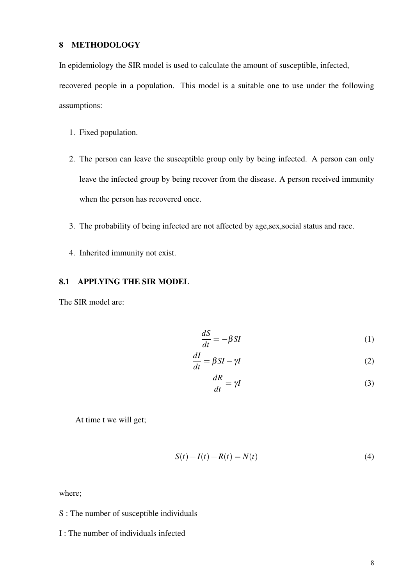### <span id="page-12-0"></span>8 METHODOLOGY

In epidemiology the SIR model is used to calculate the amount of susceptible, infected,

recovered people in a population. This model is a suitable one to use under the following assumptions:

- 1. Fixed population.
- 2. The person can leave the susceptible group only by being infected. A person can only leave the infected group by being recover from the disease. A person received immunity when the person has recovered once.
- 3. The probability of being infected are not affected by age,sex,social status and race.
- 4. Inherited immunity not exist.

### <span id="page-12-1"></span>8.1 APPLYING THE SIR MODEL

The SIR model are:

$$
\frac{dS}{dt} = -\beta SI\tag{1}
$$

$$
\frac{dI}{dt} = \beta SI - \gamma I \tag{2}
$$

$$
\frac{dR}{dt} = \gamma I \tag{3}
$$

At time t we will get;

$$
S(t) + I(t) + R(t) = N(t)
$$
\n(4)

where;

### S : The number of susceptible individuals

I : The number of individuals infected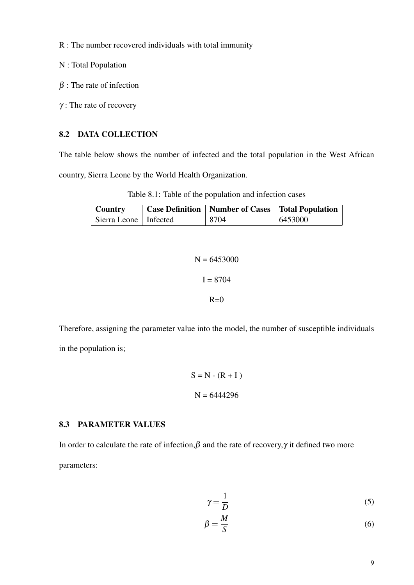- R : The number recovered individuals with total immunity
- N : Total Population
- $\beta$ : The rate of infection
- $\gamma$ : The rate of recovery

### <span id="page-13-0"></span>8.2 DATA COLLECTION

The table below shows the number of infected and the total population in the West African country, Sierra Leone by the World Health Organization.

<span id="page-13-2"></span>Table 8.1: Table of the population and infection cases

| Country                 | <b>Case Definition   Number of Cases   Total Population</b> |            |  |  |  |
|-------------------------|-------------------------------------------------------------|------------|--|--|--|
| Sierra Leone   Infected | 8704                                                        | $+6453000$ |  |  |  |

```
N = 6453000I = 8704R=0
```
Therefore, assigning the parameter value into the model, the number of susceptible individuals in the population is;

$$
S = N - (R + I)
$$

$$
N = 6444296
$$

### <span id="page-13-1"></span>8.3 PARAMETER VALUES

In order to calculate the rate of infection,  $\beta$  and the rate of recovery,  $\gamma$  it defined two more parameters:

$$
\gamma = \frac{1}{D} \tag{5}
$$

$$
\beta = \frac{M}{S} \tag{6}
$$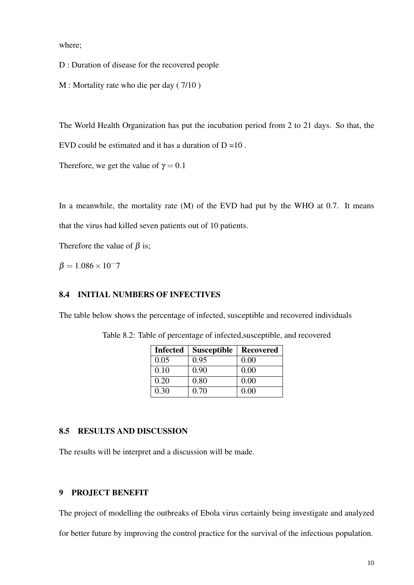where;

D : Duration of disease for the recovered people

M : Mortality rate who die per day ( 7/10 )

The World Health Organization has put the incubation period from 2 to 21 days. So that, the

EVD could be estimated and it has a duration of  $D = 10$ .

Therefore, we get the value of  $\gamma = 0.1$ 

In a meanwhile, the mortality rate  $(M)$  of the EVD had put by the WHO at 0.7. It means that the virus had killed seven patients out of 10 patients.

Therefore the value of  $\beta$  is;

 $β = 1.086 × 10<sup>-7</sup>$ 

### <span id="page-14-0"></span>8.4 INITIAL NUMBERS OF INFECTIVES

The table below shows the percentage of infected, susceptible and recovered individuals

<span id="page-14-3"></span>

| <b>Infected</b> | <b>Susceptible</b> | <b>Recovered</b> |
|-----------------|--------------------|------------------|
| 0.05            | 0.95               | 0.00             |
| 0.10            | 0.90               | 0.00             |
| 0.20            | 0.80               | 0.00             |
| 0.30            | 0.70               | 0.00             |

Table 8.2: Table of percentage of infected,susceptible, and recovered

### <span id="page-14-1"></span>8.5 RESULTS AND DISCUSSION

The results will be interpret and a discussion will be made.

### <span id="page-14-2"></span>9 PROJECT BENEFIT

The project of modelling the outbreaks of Ebola virus certainly being investigate and analyzed

for better future by improving the control practice for the survival of the infectious population.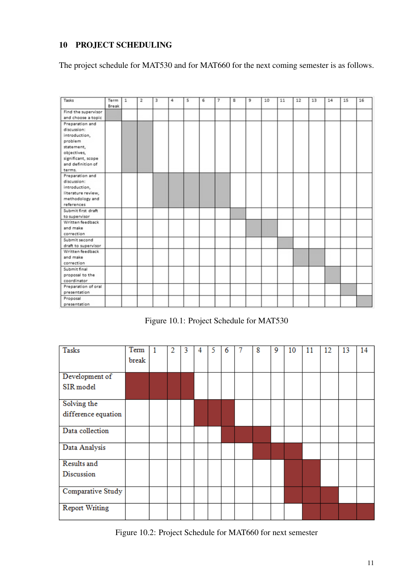### <span id="page-15-0"></span>10 PROJECT SCHEDULING

The project schedule for MAT530 and for MAT660 for the next coming semester is as follows.

| Tasks               | Term<br>Break | $\mathbf{1}$ | $\overline{\mathbf{z}}$ | з | 4 | 5 | 6 | $\overline{7}$ | 8 | 9 | 10 | 11 | 12 | 13 | 14 | 15 | 16 |
|---------------------|---------------|--------------|-------------------------|---|---|---|---|----------------|---|---|----|----|----|----|----|----|----|
| Find the supervisor |               |              |                         |   |   |   |   |                |   |   |    |    |    |    |    |    |    |
| and choose a topic  |               |              |                         |   |   |   |   |                |   |   |    |    |    |    |    |    |    |
| Preparation and     |               |              |                         |   |   |   |   |                |   |   |    |    |    |    |    |    |    |
| discussion:         |               |              |                         |   |   |   |   |                |   |   |    |    |    |    |    |    |    |
| introduction,       |               |              |                         |   |   |   |   |                |   |   |    |    |    |    |    |    |    |
| problem             |               |              |                         |   |   |   |   |                |   |   |    |    |    |    |    |    |    |
| statement,          |               |              |                         |   |   |   |   |                |   |   |    |    |    |    |    |    |    |
| objectives,         |               |              |                         |   |   |   |   |                |   |   |    |    |    |    |    |    |    |
| significant, scope  |               |              |                         |   |   |   |   |                |   |   |    |    |    |    |    |    |    |
| and definition of   |               |              |                         |   |   |   |   |                |   |   |    |    |    |    |    |    |    |
| terms.              |               |              |                         |   |   |   |   |                |   |   |    |    |    |    |    |    |    |
| Preparation and     |               |              |                         |   |   |   |   |                |   |   |    |    |    |    |    |    |    |
| discussion:         |               |              |                         |   |   |   |   |                |   |   |    |    |    |    |    |    |    |
| introduction,       |               |              |                         |   |   |   |   |                |   |   |    |    |    |    |    |    |    |
| literature review,  |               |              |                         |   |   |   |   |                |   |   |    |    |    |    |    |    |    |
| methodology and     |               |              |                         |   |   |   |   |                |   |   |    |    |    |    |    |    |    |
| references          |               |              |                         |   |   |   |   |                |   |   |    |    |    |    |    |    |    |
| Submit first draft  |               |              |                         |   |   |   |   |                |   |   |    |    |    |    |    |    |    |
| to supervisor       |               |              |                         |   |   |   |   |                |   |   |    |    |    |    |    |    |    |
| Written feedback    |               |              |                         |   |   |   |   |                |   |   |    |    |    |    |    |    |    |
| and make            |               |              |                         |   |   |   |   |                |   |   |    |    |    |    |    |    |    |
| correction          |               |              |                         |   |   |   |   |                |   |   |    |    |    |    |    |    |    |
| Submit second       |               |              |                         |   |   |   |   |                |   |   |    |    |    |    |    |    |    |
| draft to supervisor |               |              |                         |   |   |   |   |                |   |   |    |    |    |    |    |    |    |
| Written feedback    |               |              |                         |   |   |   |   |                |   |   |    |    |    |    |    |    |    |
| and make            |               |              |                         |   |   |   |   |                |   |   |    |    |    |    |    |    |    |
| correction          |               |              |                         |   |   |   |   |                |   |   |    |    |    |    |    |    |    |
| Submit final        |               |              |                         |   |   |   |   |                |   |   |    |    |    |    |    |    |    |
| proposal to the     |               |              |                         |   |   |   |   |                |   |   |    |    |    |    |    |    |    |
| coordinator         |               |              |                         |   |   |   |   |                |   |   |    |    |    |    |    |    |    |
| Preparation of oral |               |              |                         |   |   |   |   |                |   |   |    |    |    |    |    |    |    |
| presentation        |               |              |                         |   |   |   |   |                |   |   |    |    |    |    |    |    |    |
| Proposal            |               |              |                         |   |   |   |   |                |   |   |    |    |    |    |    |    |    |
| presentation        |               |              |                         |   |   |   |   |                |   |   |    |    |    |    |    |    |    |

<span id="page-15-1"></span>Figure 10.1: Project Schedule for MAT530

| <b>Tasks</b>          | Term<br>break | $\overline{1}$ | 2 | 3 | 4 | 5 | 6 | 8 | 9 | 10 | 11 | 12 | 13 | 14 |
|-----------------------|---------------|----------------|---|---|---|---|---|---|---|----|----|----|----|----|
| Development of        |               |                |   |   |   |   |   |   |   |    |    |    |    |    |
| SIR model             |               |                |   |   |   |   |   |   |   |    |    |    |    |    |
| Solving the           |               |                |   |   |   |   |   |   |   |    |    |    |    |    |
| difference equation   |               |                |   |   |   |   |   |   |   |    |    |    |    |    |
| Data collection       |               |                |   |   |   |   |   |   |   |    |    |    |    |    |
| Data Analysis         |               |                |   |   |   |   |   |   |   |    |    |    |    |    |
| Results and           |               |                |   |   |   |   |   |   |   |    |    |    |    |    |
| Discussion            |               |                |   |   |   |   |   |   |   |    |    |    |    |    |
| Comparative Study     |               |                |   |   |   |   |   |   |   |    |    |    |    |    |
| <b>Report Writing</b> |               |                |   |   |   |   |   |   |   |    |    |    |    |    |

<span id="page-15-2"></span>Figure 10.2: Project Schedule for MAT660 for next semester